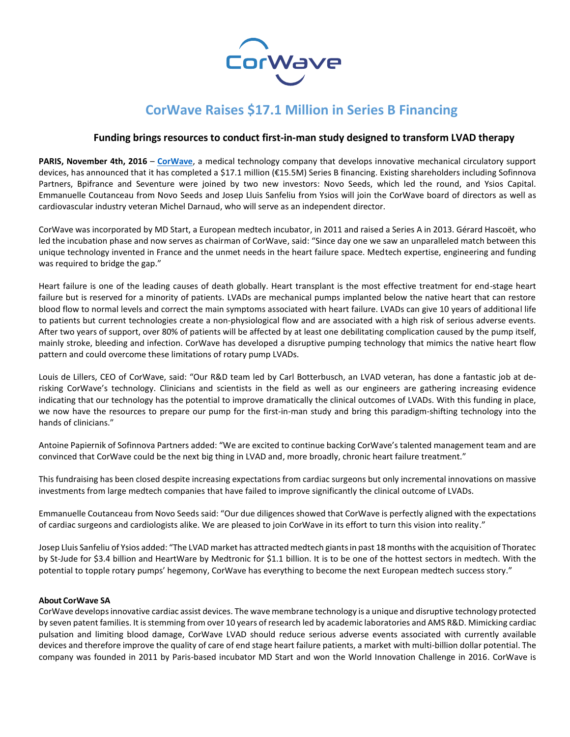

# **CorWave Raises \$17.1 Million in Series B Financing**

# **Funding brings resources to conduct first-in-man study designed to transform LVAD therapy**

**PARIS, November 4th, 2016** – **[CorWave](http://www.corwave.fr/)**, a medical technology company that develops innovative mechanical circulatory support devices, has announced that it has completed a \$17.1 million (€15.5M) Series B financing. Existing shareholders including Sofinnova Partners, Bpifrance and Seventure were joined by two new investors: Novo Seeds, which led the round, and Ysios Capital. Emmanuelle Coutanceau from Novo Seeds and Josep Lluis Sanfeliu from Ysios will join the CorWave board of directors as well as cardiovascular industry veteran Michel Darnaud, who will serve as an independent director.

CorWave was incorporated by MD Start, a European medtech incubator, in 2011 and raised a Series A in 2013. Gérard Hascoët, who led the incubation phase and now serves as chairman of CorWave, said: "Since day one we saw an unparalleled match between this unique technology invented in France and the unmet needs in the heart failure space. Medtech expertise, engineering and funding was required to bridge the gap."

Heart failure is one of the leading causes of death globally. Heart transplant is the most effective treatment for end-stage heart failure but is reserved for a minority of patients. LVADs are mechanical pumps implanted below the native heart that can restore blood flow to normal levels and correct the main symptoms associated with heart failure. LVADs can give 10 years of additional life to patients but current technologies create a non-physiological flow and are associated with a high risk of serious adverse events. After two years of support, over 80% of patients will be affected by at least one debilitating complication caused by the pump itself, mainly stroke, bleeding and infection. CorWave has developed a disruptive pumping technology that mimics the native heart flow pattern and could overcome these limitations of rotary pump LVADs.

Louis de Lillers, CEO of CorWave, said: "Our R&D team led by Carl Botterbusch, an LVAD veteran, has done a fantastic job at derisking CorWave's technology. Clinicians and scientists in the field as well as our engineers are gathering increasing evidence indicating that our technology has the potential to improve dramatically the clinical outcomes of LVADs. With this funding in place, we now have the resources to prepare our pump for the first-in-man study and bring this paradigm-shifting technology into the hands of clinicians."

Antoine Papiernik of Sofinnova Partners added: "We are excited to continue backing CorWave's talented management team and are convinced that CorWave could be the next big thing in LVAD and, more broadly, chronic heart failure treatment."

This fundraising has been closed despite increasing expectations from cardiac surgeons but only incremental innovations on massive investments from large medtech companies that have failed to improve significantly the clinical outcome of LVADs.

Emmanuelle Coutanceau from Novo Seeds said: "Our due diligences showed that CorWave is perfectly aligned with the expectations of cardiac surgeons and cardiologists alike. We are pleased to join CorWave in its effort to turn this vision into reality."

Josep Lluis Sanfeliu of Ysios added: "The LVAD market has attracted medtech giantsin past 18 months with the acquisition of Thoratec by St-Jude for \$3.4 billion and HeartWare by Medtronic for \$1.1 billion. It is to be one of the hottest sectors in medtech. With the potential to topple rotary pumps' hegemony, CorWave has everything to become the next European medtech success story."

# **About CorWave SA**

CorWave developsinnovative cardiac assist devices. The wave membrane technology is a unique and disruptive technology protected by seven patent families. It is stemming from over 10 years of research led by academic laboratories and AMS R&D. Mimicking cardiac pulsation and limiting blood damage, CorWave LVAD should reduce serious adverse events associated with currently available devices and therefore improve the quality of care of end stage heart failure patients, a market with multi-billion dollar potential. The company was founded in 2011 by Paris-based incubator MD Start and won the World Innovation Challenge in 2016. CorWave is